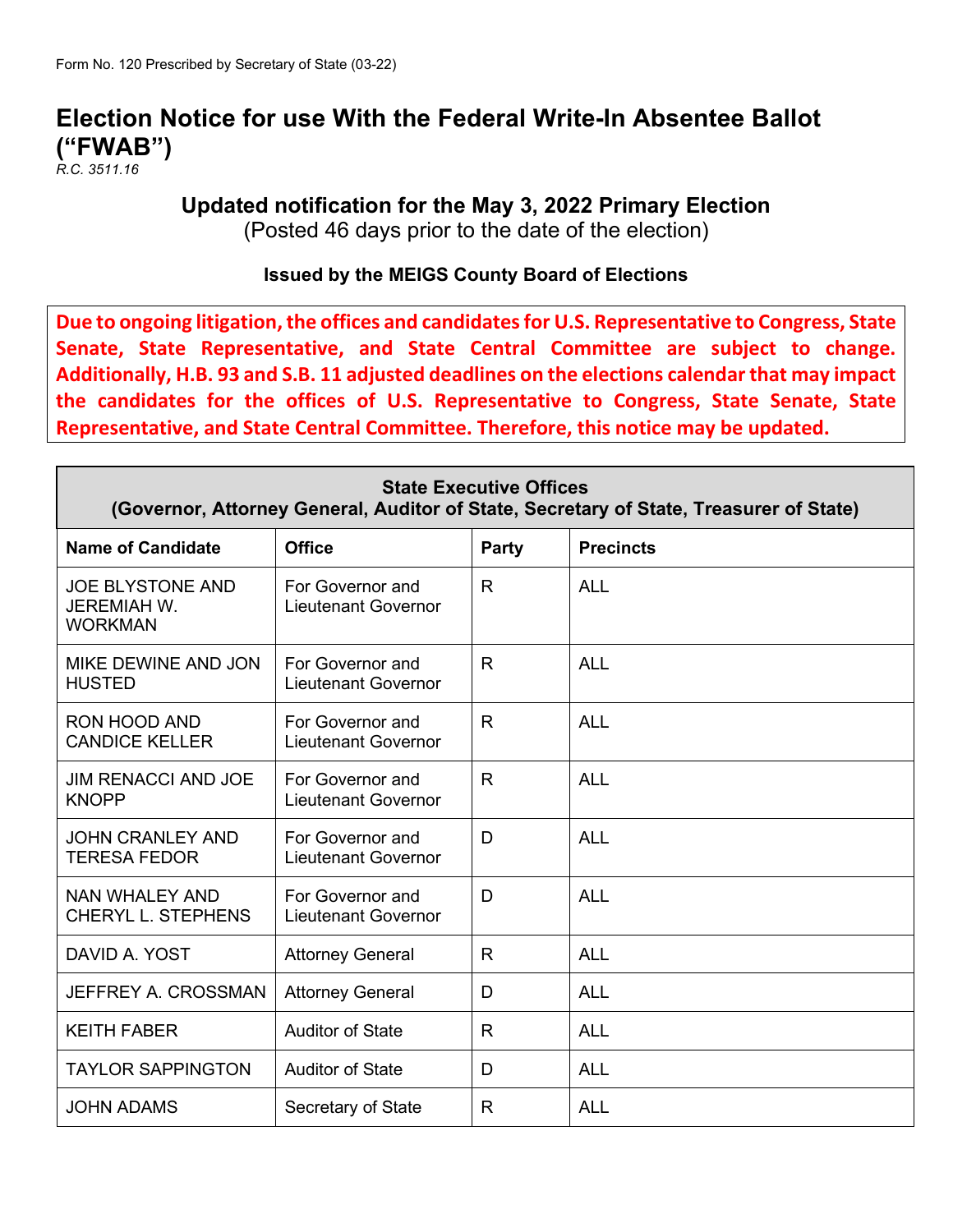# **Election Notice for use With the Federal Write-In Absentee Ballot ("FWAB")**

*R.C. 3511.16*

### **Updated notification for the May 3, 2022 Primary Election**

(Posted 46 days prior to the date of the election)

#### **Issued by the MEIGS County Board of Elections**

**Due to ongoing litigation, the offices and candidates for U.S. Representative to Congress, State Senate, State Representative, and State Central Committee are subject to change. Additionally, H.B. 93 and S.B. 11 adjusted deadlines on the elections calendar that may impact the candidates for the offices of U.S. Representative to Congress, State Senate, State Representative, and State Central Committee. Therefore, this notice may be updated.** 

| <b>State Executive Offices</b><br>(Governor, Attorney General, Auditor of State, Secretary of State, Treasurer of State) |                                                |              |                  |  |
|--------------------------------------------------------------------------------------------------------------------------|------------------------------------------------|--------------|------------------|--|
| <b>Name of Candidate</b>                                                                                                 | <b>Office</b>                                  | Party        | <b>Precincts</b> |  |
| <b>JOE BLYSTONE AND</b><br><b>JEREMIAH W.</b><br><b>WORKMAN</b>                                                          | For Governor and<br><b>Lieutenant Governor</b> | $\mathsf{R}$ | <b>ALL</b>       |  |
| MIKE DEWINE AND JON<br><b>HUSTED</b>                                                                                     | For Governor and<br><b>Lieutenant Governor</b> | $\mathsf{R}$ | <b>ALL</b>       |  |
| <b>RON HOOD AND</b><br><b>CANDICE KELLER</b>                                                                             | For Governor and<br>Lieutenant Governor        | R            | <b>ALL</b>       |  |
| <b>JIM RENACCI AND JOE</b><br><b>KNOPP</b>                                                                               | For Governor and<br><b>Lieutenant Governor</b> | R            | <b>ALL</b>       |  |
| <b>JOHN CRANLEY AND</b><br><b>TERESA FEDOR</b>                                                                           | For Governor and<br><b>Lieutenant Governor</b> | D            | <b>ALL</b>       |  |
| NAN WHALEY AND<br><b>CHERYL L. STEPHENS</b>                                                                              | For Governor and<br><b>Lieutenant Governor</b> | D            | <b>ALL</b>       |  |
| DAVID A. YOST                                                                                                            | <b>Attorney General</b>                        | R            | <b>ALL</b>       |  |
| JEFFREY A. CROSSMAN                                                                                                      | <b>Attorney General</b>                        | D            | <b>ALL</b>       |  |
| <b>KEITH FABER</b>                                                                                                       | <b>Auditor of State</b>                        | $\mathsf{R}$ | <b>ALL</b>       |  |
| <b>TAYLOR SAPPINGTON</b>                                                                                                 | <b>Auditor of State</b>                        | D            | <b>ALL</b>       |  |
| <b>JOHN ADAMS</b>                                                                                                        | Secretary of State                             | R            | <b>ALL</b>       |  |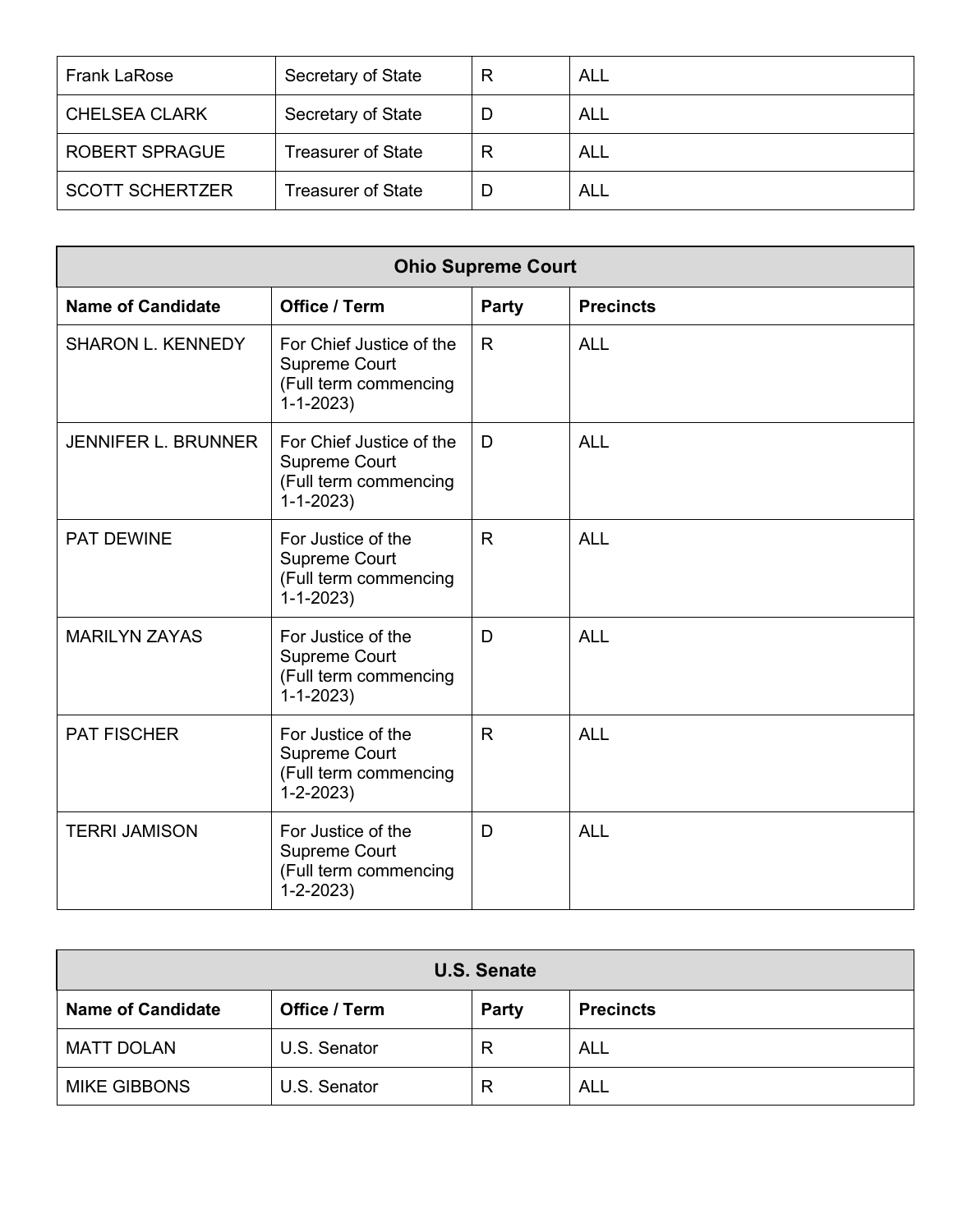| <b>Frank LaRose</b>    | Secretary of State        | R | ALL        |
|------------------------|---------------------------|---|------------|
| <b>CHELSEA CLARK</b>   | Secretary of State        |   | <b>ALL</b> |
| <b>ROBERT SPRAGUE</b>  | Treasurer of State        | R | <b>ALL</b> |
| <b>SCOTT SCHERTZER</b> | <b>Treasurer of State</b> |   | <b>ALL</b> |

| <b>Ohio Supreme Court</b>  |                                                                                             |              |                  |
|----------------------------|---------------------------------------------------------------------------------------------|--------------|------------------|
| <b>Name of Candidate</b>   | Office / Term                                                                               | Party        | <b>Precincts</b> |
| <b>SHARON L. KENNEDY</b>   | For Chief Justice of the<br><b>Supreme Court</b><br>(Full term commencing<br>$1 - 1 - 2023$ | $\mathsf{R}$ | <b>ALL</b>       |
| <b>JENNIFER L. BRUNNER</b> | For Chief Justice of the<br><b>Supreme Court</b><br>(Full term commencing<br>$1 - 1 - 2023$ | D            | <b>ALL</b>       |
| <b>PAT DEWINE</b>          | For Justice of the<br>Supreme Court<br>(Full term commencing<br>$1 - 1 - 2023$              | $\mathsf{R}$ | <b>ALL</b>       |
| <b>MARILYN ZAYAS</b>       | For Justice of the<br><b>Supreme Court</b><br>(Full term commencing<br>$1 - 1 - 2023$       | D            | <b>ALL</b>       |
| <b>PAT FISCHER</b>         | For Justice of the<br>Supreme Court<br>(Full term commencing<br>$1-2-2023$                  | R.           | <b>ALL</b>       |
| <b>TERRI JAMISON</b>       | For Justice of the<br><b>Supreme Court</b><br>(Full term commencing<br>$1-2-2023$           | D            | <b>ALL</b>       |

| <b>U.S. Senate</b>       |               |              |                  |  |
|--------------------------|---------------|--------------|------------------|--|
| <b>Name of Candidate</b> | Office / Term | <b>Party</b> | <b>Precincts</b> |  |
| <b>MATT DOLAN</b>        | U.S. Senator  | R            | <b>ALL</b>       |  |
| <b>MIKE GIBBONS</b>      | U.S. Senator  | R            | <b>ALL</b>       |  |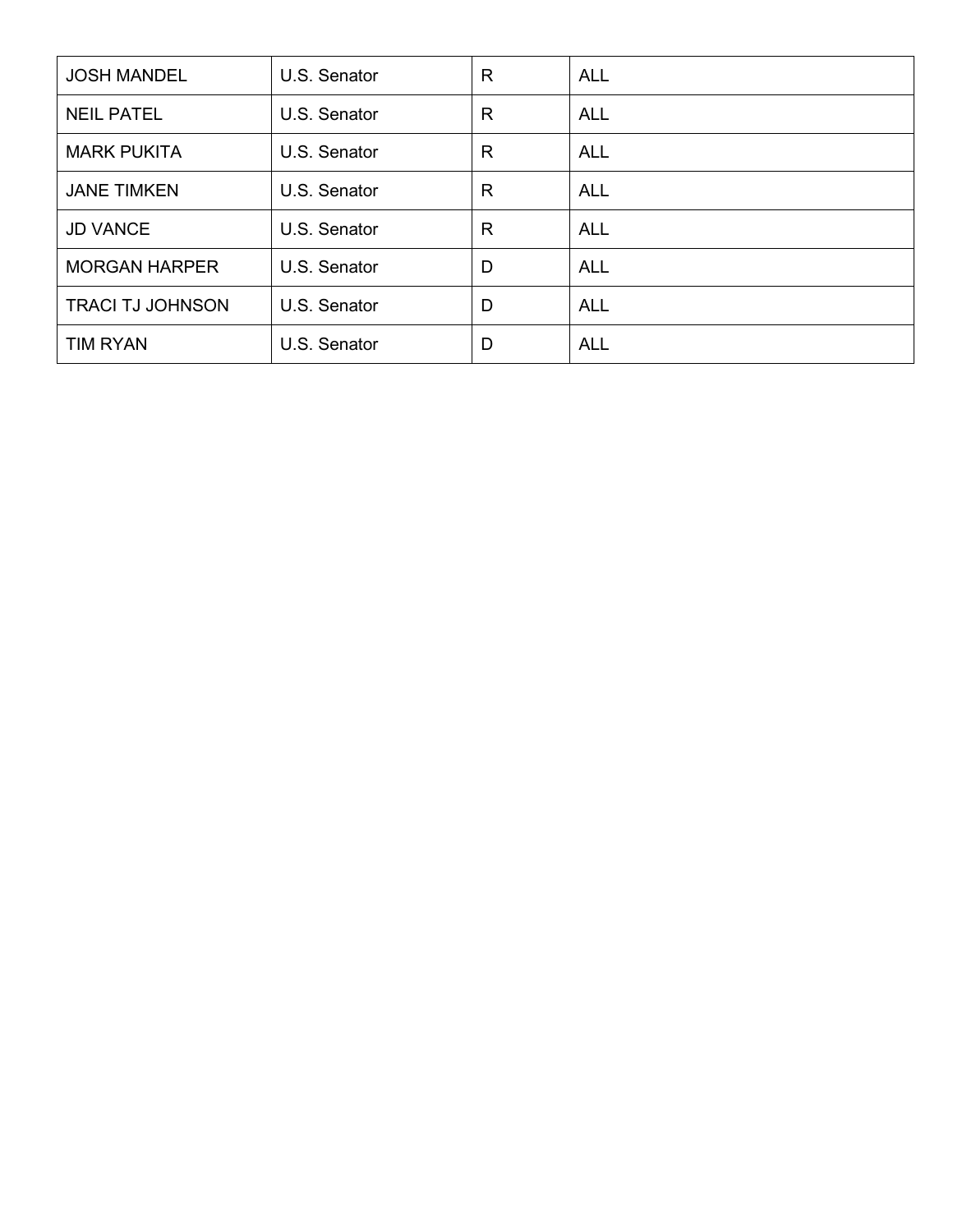| <b>JOSH MANDEL</b>      | U.S. Senator | R | <b>ALL</b> |
|-------------------------|--------------|---|------------|
| <b>NEIL PATEL</b>       | U.S. Senator | R | <b>ALL</b> |
| <b>MARK PUKITA</b>      | U.S. Senator | R | <b>ALL</b> |
| <b>JANE TIMKEN</b>      | U.S. Senator | R | <b>ALL</b> |
| <b>JD VANCE</b>         | U.S. Senator | R | ALL        |
| <b>MORGAN HARPER</b>    | U.S. Senator | D | <b>ALL</b> |
| <b>TRACI TJ JOHNSON</b> | U.S. Senator | D | <b>ALL</b> |
| <b>TIM RYAN</b>         | U.S. Senator | D | <b>ALL</b> |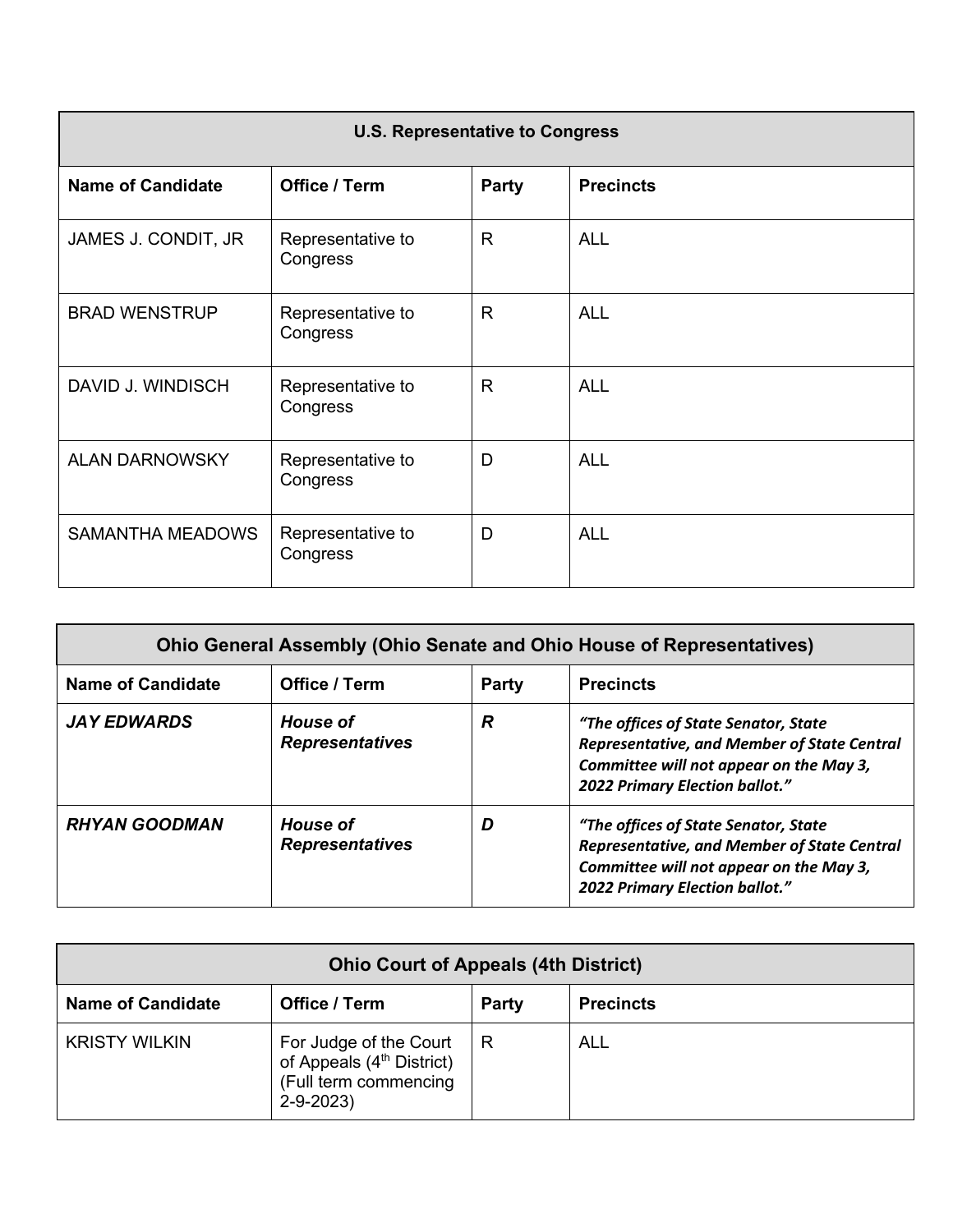| <b>U.S. Representative to Congress</b> |                               |              |                  |
|----------------------------------------|-------------------------------|--------------|------------------|
| <b>Name of Candidate</b>               | Office / Term                 | <b>Party</b> | <b>Precincts</b> |
| JAMES J. CONDIT, JR                    | Representative to<br>Congress | $\mathsf{R}$ | <b>ALL</b>       |
| <b>BRAD WENSTRUP</b>                   | Representative to<br>Congress | $\mathsf{R}$ | <b>ALL</b>       |
| DAVID J. WINDISCH                      | Representative to<br>Congress | R            | <b>ALL</b>       |
| <b>ALAN DARNOWSKY</b>                  | Representative to<br>Congress | D            | <b>ALL</b>       |
| <b>SAMANTHA MEADOWS</b>                | Representative to<br>Congress | D            | <b>ALL</b>       |

| <b>Ohio General Assembly (Ohio Senate and Ohio House of Representatives)</b> |                                           |       |                                                                                                                                                                         |
|------------------------------------------------------------------------------|-------------------------------------------|-------|-------------------------------------------------------------------------------------------------------------------------------------------------------------------------|
| <b>Name of Candidate</b>                                                     | Office / Term                             | Party | <b>Precincts</b>                                                                                                                                                        |
| <b>JAY EDWARDS</b>                                                           | <b>House of</b><br><b>Representatives</b> | R     | "The offices of State Senator, State<br><b>Representative, and Member of State Central</b><br>Committee will not appear on the May 3,<br>2022 Primary Election ballot." |
| <b>RHYAN GOODMAN</b>                                                         | <b>House of</b><br><b>Representatives</b> | D     | "The offices of State Senator, State<br><b>Representative, and Member of State Central</b><br>Committee will not appear on the May 3,<br>2022 Primary Election ballot." |

| <b>Ohio Court of Appeals (4th District)</b> |                                                                                                            |                  |     |
|---------------------------------------------|------------------------------------------------------------------------------------------------------------|------------------|-----|
| <b>Name of Candidate</b>                    | Office / Term                                                                                              | <b>Precincts</b> |     |
| <b>KRISTY WILKIN</b>                        | For Judge of the Court<br>of Appeals (4 <sup>th</sup> District)<br>(Full term commencing<br>$2 - 9 - 2023$ | R                | ALL |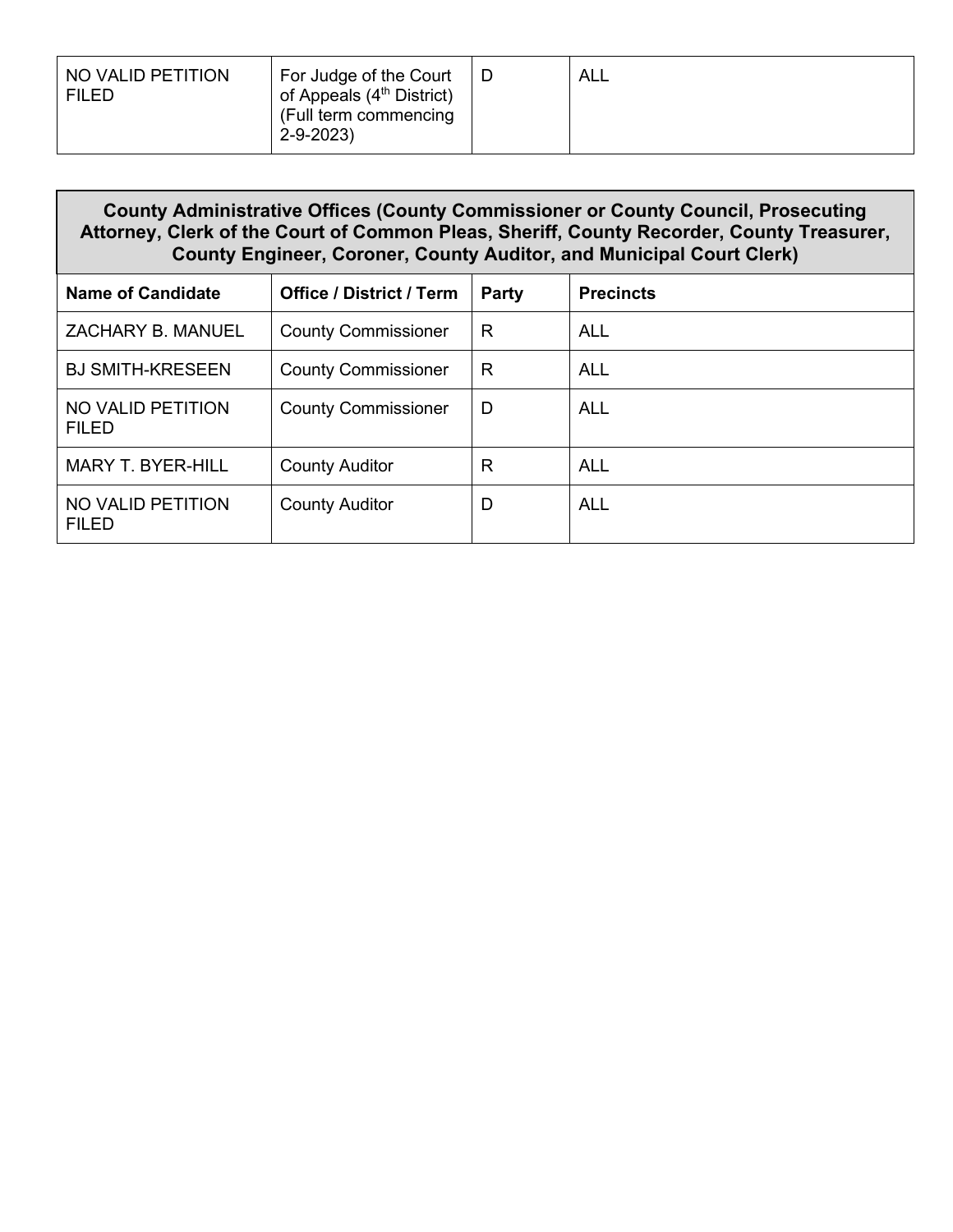| NO VALID PETITION<br>For Judge of the Court<br>of Appeals (4 <sup>th</sup> District)<br><b>FILED</b><br>(Full term commencing<br>$2 - 9 - 2023$ |  | ALL |
|-------------------------------------------------------------------------------------------------------------------------------------------------|--|-----|
|-------------------------------------------------------------------------------------------------------------------------------------------------|--|-----|

#### **County Administrative Offices (County Commissioner or County Council, Prosecuting Attorney, Clerk of the Court of Common Pleas, Sheriff, County Recorder, County Treasurer, County Engineer, Coroner, County Auditor, and Municipal Court Clerk)**

| <b>Name of Candidate</b>          | <b>Office / District / Term</b> | Party | <b>Precincts</b> |
|-----------------------------------|---------------------------------|-------|------------------|
| ZACHARY B. MANUEL                 | <b>County Commissioner</b>      | R     | <b>ALL</b>       |
| <b>BJ SMITH-KRESEEN</b>           | <b>County Commissioner</b>      | R     | <b>ALL</b>       |
| NO VALID PETITION<br><b>FILED</b> | <b>County Commissioner</b>      | D     | <b>ALL</b>       |
| <b>MARY T. BYER-HILL</b>          | <b>County Auditor</b>           | R     | <b>ALL</b>       |
| NO VALID PETITION<br><b>FILED</b> | <b>County Auditor</b>           | D     | <b>ALL</b>       |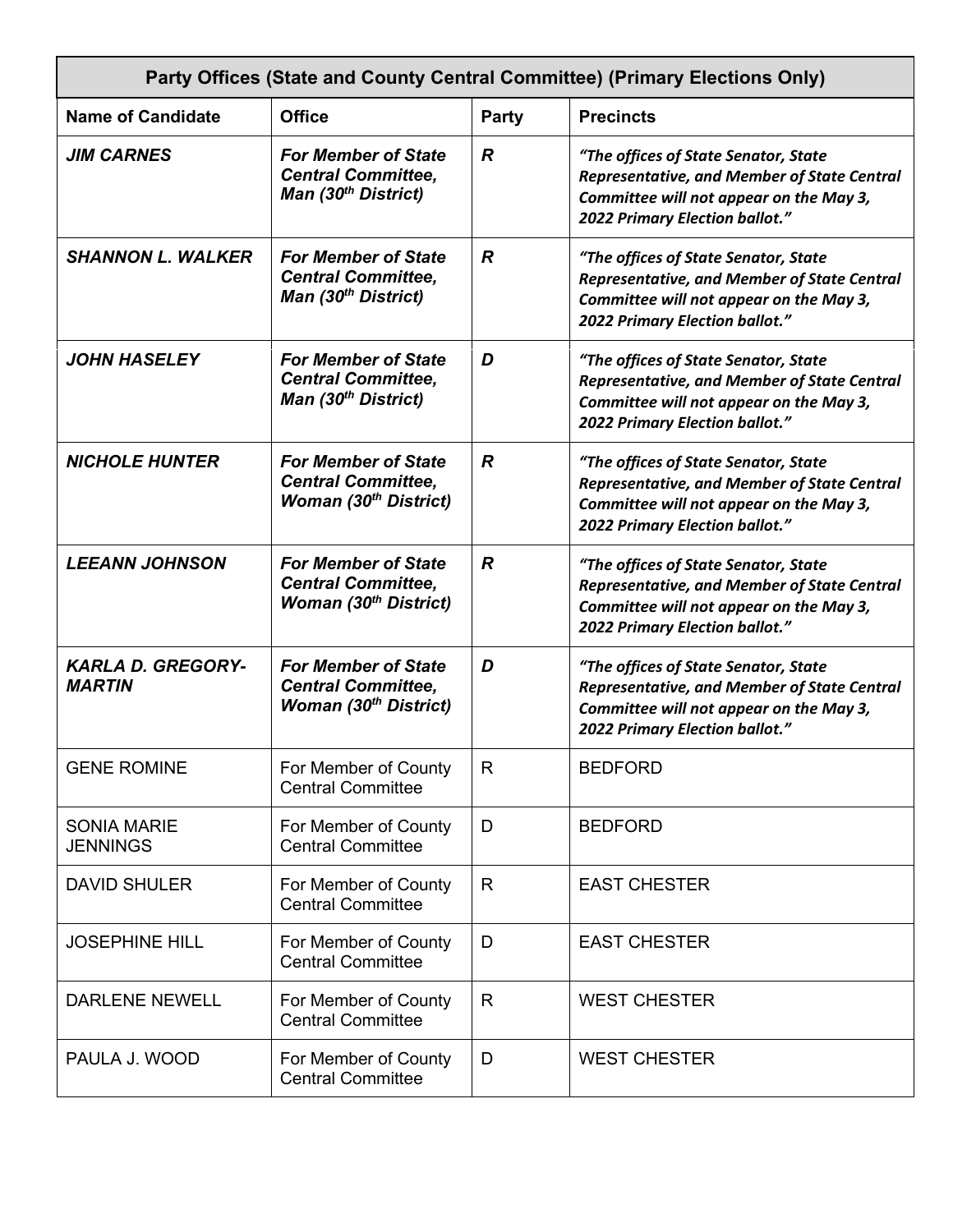| Party Offices (State and County Central Committee) (Primary Elections Only) |                                                                                            |              |                                                                                                                                                                                |
|-----------------------------------------------------------------------------|--------------------------------------------------------------------------------------------|--------------|--------------------------------------------------------------------------------------------------------------------------------------------------------------------------------|
| <b>Name of Candidate</b>                                                    | <b>Office</b>                                                                              | <b>Party</b> | <b>Precincts</b>                                                                                                                                                               |
| <b>JIM CARNES</b>                                                           | <b>For Member of State</b><br><b>Central Committee,</b><br>Man (30th District)             | R            | "The offices of State Senator, State<br><b>Representative, and Member of State Central</b><br>Committee will not appear on the May 3,<br><b>2022 Primary Election ballot."</b> |
| <b>SHANNON L. WALKER</b>                                                    | <b>For Member of State</b><br><b>Central Committee,</b><br>Man (30 <sup>th</sup> District) | R            | "The offices of State Senator, State<br><b>Representative, and Member of State Central</b><br>Committee will not appear on the May 3,<br>2022 Primary Election ballot."        |
| <b>JOHN HASELEY</b>                                                         | <b>For Member of State</b><br><b>Central Committee,</b><br>Man (30th District)             | D            | "The offices of State Senator, State<br><b>Representative, and Member of State Central</b><br>Committee will not appear on the May 3,<br>2022 Primary Election ballot."        |
| <b>NICHOLE HUNTER</b>                                                       | <b>For Member of State</b><br><b>Central Committee,</b><br><b>Woman (30th District)</b>    | R            | "The offices of State Senator, State<br><b>Representative, and Member of State Central</b><br>Committee will not appear on the May 3,<br>2022 Primary Election ballot."        |
| <b>LEEANN JOHNSON</b>                                                       | <b>For Member of State</b><br><b>Central Committee,</b><br><b>Woman (30th District)</b>    | R            | "The offices of State Senator, State<br>Representative, and Member of State Central<br>Committee will not appear on the May 3,<br>2022 Primary Election ballot."               |
| <b>KARLA D. GREGORY-</b><br><b>MARTIN</b>                                   | <b>For Member of State</b><br><b>Central Committee,</b><br><b>Woman (30th District)</b>    | D            | "The offices of State Senator, State<br><b>Representative, and Member of State Central</b><br>Committee will not appear on the May 3,<br>2022 Primary Election ballot."        |
| <b>GENE ROMINE</b>                                                          | For Member of County<br><b>Central Committee</b>                                           | R            | <b>BEDFORD</b>                                                                                                                                                                 |
| <b>SONIA MARIE</b><br><b>JENNINGS</b>                                       | For Member of County<br><b>Central Committee</b>                                           | D            | <b>BEDFORD</b>                                                                                                                                                                 |
| <b>DAVID SHULER</b>                                                         | For Member of County<br><b>Central Committee</b>                                           | $\mathsf{R}$ | <b>EAST CHESTER</b>                                                                                                                                                            |
| <b>JOSEPHINE HILL</b>                                                       | For Member of County<br><b>Central Committee</b>                                           | D            | <b>EAST CHESTER</b>                                                                                                                                                            |
| <b>DARLENE NEWELL</b>                                                       | For Member of County<br><b>Central Committee</b>                                           | $\mathsf{R}$ | <b>WEST CHESTER</b>                                                                                                                                                            |
| PAULA J. WOOD                                                               | For Member of County<br><b>Central Committee</b>                                           | D            | <b>WEST CHESTER</b>                                                                                                                                                            |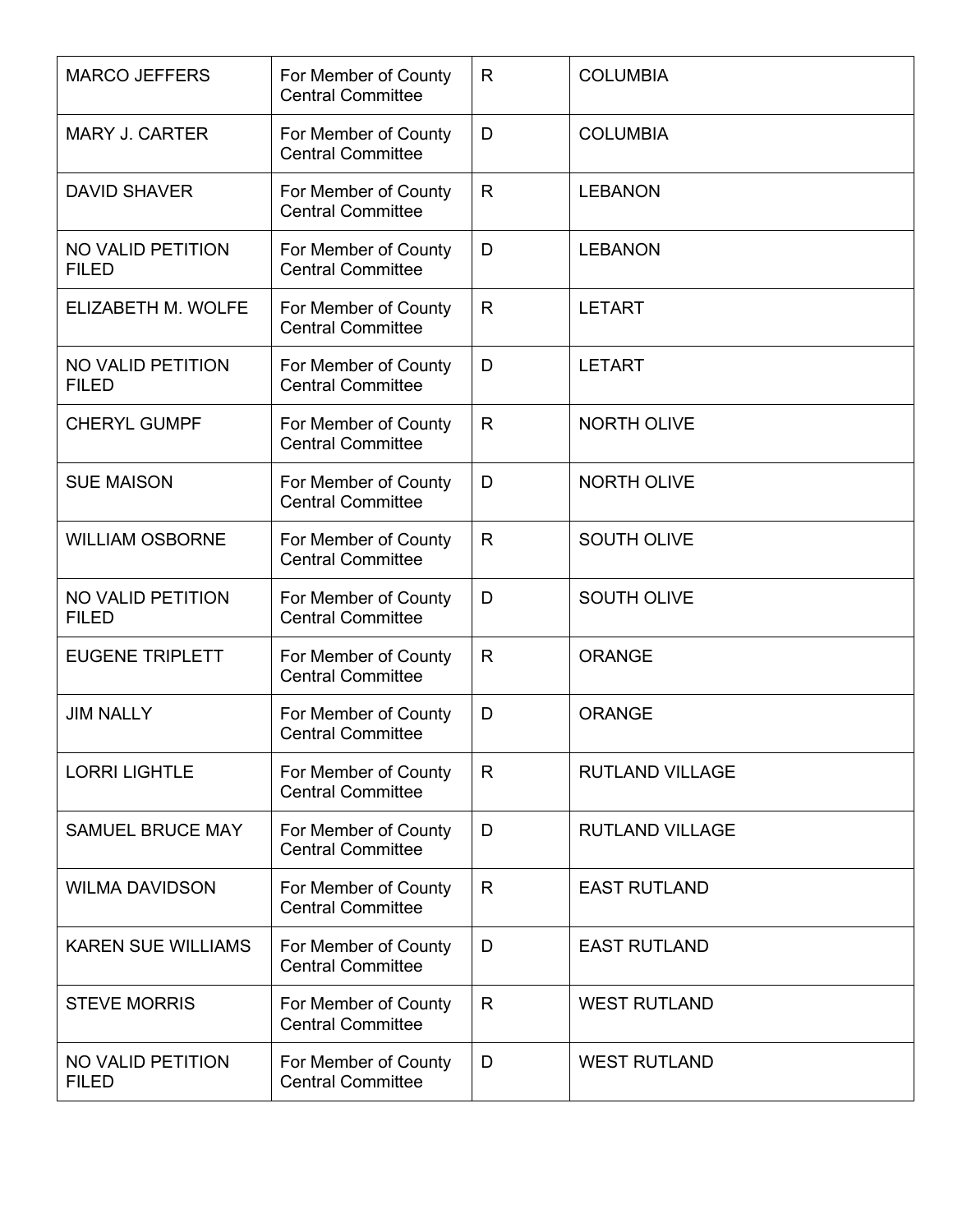| <b>MARCO JEFFERS</b>                     | For Member of County<br><b>Central Committee</b> | R            | <b>COLUMBIA</b>        |
|------------------------------------------|--------------------------------------------------|--------------|------------------------|
| <b>MARY J. CARTER</b>                    | For Member of County<br><b>Central Committee</b> | D            | <b>COLUMBIA</b>        |
| <b>DAVID SHAVER</b>                      | For Member of County<br><b>Central Committee</b> | R.           | <b>LEBANON</b>         |
| NO VALID PETITION<br><b>FILED</b>        | For Member of County<br><b>Central Committee</b> | D            | <b>LEBANON</b>         |
| ELIZABETH M. WOLFE                       | For Member of County<br><b>Central Committee</b> | $\mathsf{R}$ | <b>LETART</b>          |
| NO VALID PETITION<br><b>FILED</b>        | For Member of County<br><b>Central Committee</b> | D            | <b>LETART</b>          |
| <b>CHERYL GUMPF</b>                      | For Member of County<br><b>Central Committee</b> | R            | <b>NORTH OLIVE</b>     |
| <b>SUE MAISON</b>                        | For Member of County<br><b>Central Committee</b> | D            | <b>NORTH OLIVE</b>     |
| <b>WILLIAM OSBORNE</b>                   | For Member of County<br><b>Central Committee</b> | R            | <b>SOUTH OLIVE</b>     |
| NO VALID PETITION<br><b>FILED</b>        | For Member of County<br><b>Central Committee</b> | D            | <b>SOUTH OLIVE</b>     |
| <b>EUGENE TRIPLETT</b>                   | For Member of County<br><b>Central Committee</b> | R            | <b>ORANGE</b>          |
| <b>JIM NALLY</b>                         | For Member of County<br><b>Central Committee</b> | D            | <b>ORANGE</b>          |
| <b>LORRI LIGHTLE</b>                     | For Member of County<br><b>Central Committee</b> | R            | <b>RUTLAND VILLAGE</b> |
| <b>SAMUEL BRUCE MAY</b>                  | For Member of County<br><b>Central Committee</b> | D            | <b>RUTLAND VILLAGE</b> |
| <b>WILMA DAVIDSON</b>                    | For Member of County<br><b>Central Committee</b> | $\mathsf{R}$ | <b>EAST RUTLAND</b>    |
| <b>KAREN SUE WILLIAMS</b>                | For Member of County<br><b>Central Committee</b> | D            | <b>EAST RUTLAND</b>    |
| <b>STEVE MORRIS</b>                      | For Member of County<br><b>Central Committee</b> | $\mathsf{R}$ | <b>WEST RUTLAND</b>    |
| <b>NO VALID PETITION</b><br><b>FILED</b> | For Member of County<br><b>Central Committee</b> | D            | <b>WEST RUTLAND</b>    |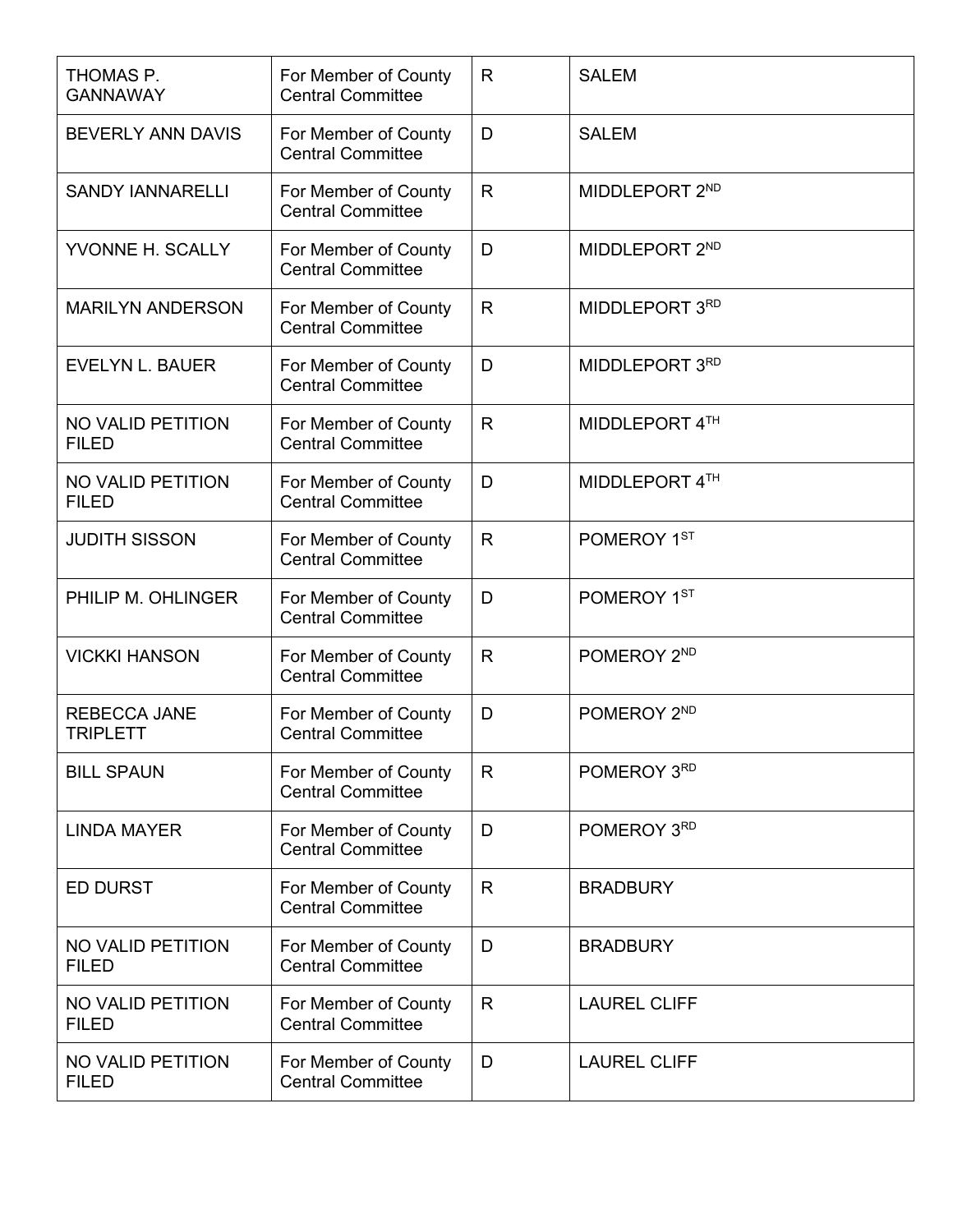| THOMAS P.<br><b>GANNAWAY</b>           | For Member of County<br><b>Central Committee</b> | R            | <b>SALEM</b>        |
|----------------------------------------|--------------------------------------------------|--------------|---------------------|
| <b>BEVERLY ANN DAVIS</b>               | For Member of County<br><b>Central Committee</b> | D            | <b>SALEM</b>        |
| <b>SANDY IANNARELLI</b>                | For Member of County<br><b>Central Committee</b> | $\mathsf{R}$ | MIDDLEPORT 2ND      |
| YVONNE H. SCALLY                       | For Member of County<br><b>Central Committee</b> | D            | MIDDLEPORT 2ND      |
| <b>MARILYN ANDERSON</b>                | For Member of County<br><b>Central Committee</b> | R            | MIDDLEPORT 3RD      |
| <b>EVELYN L. BAUER</b>                 | For Member of County<br><b>Central Committee</b> | D            | MIDDLEPORT 3RD      |
| NO VALID PETITION<br><b>FILED</b>      | For Member of County<br><b>Central Committee</b> | R            | MIDDLEPORT 4TH      |
| NO VALID PETITION<br><b>FILED</b>      | For Member of County<br><b>Central Committee</b> | D            | MIDDLEPORT 4TH      |
| <b>JUDITH SISSON</b>                   | For Member of County<br><b>Central Committee</b> | R            | POMEROY 1ST         |
| PHILIP M. OHLINGER                     | For Member of County<br><b>Central Committee</b> | D            | POMEROY 1ST         |
| <b>VICKKI HANSON</b>                   | For Member of County<br><b>Central Committee</b> | $\mathsf{R}$ | POMEROY 2ND         |
| <b>REBECCA JANE</b><br><b>TRIPLETT</b> | For Member of County<br><b>Central Committee</b> | D            | POMEROY 2ND         |
| <b>BILL SPAUN</b>                      | For Member of County<br><b>Central Committee</b> | R            | POMEROY 3RD         |
| <b>LINDA MAYER</b>                     | For Member of County<br><b>Central Committee</b> | D            | POMEROY 3RD         |
| <b>ED DURST</b>                        | For Member of County<br><b>Central Committee</b> | R            | <b>BRADBURY</b>     |
| NO VALID PETITION<br><b>FILED</b>      | For Member of County<br><b>Central Committee</b> | D            | <b>BRADBURY</b>     |
| NO VALID PETITION<br><b>FILED</b>      | For Member of County<br><b>Central Committee</b> | R            | <b>LAUREL CLIFF</b> |
| NO VALID PETITION<br><b>FILED</b>      | For Member of County<br><b>Central Committee</b> | D            | <b>LAUREL CLIFF</b> |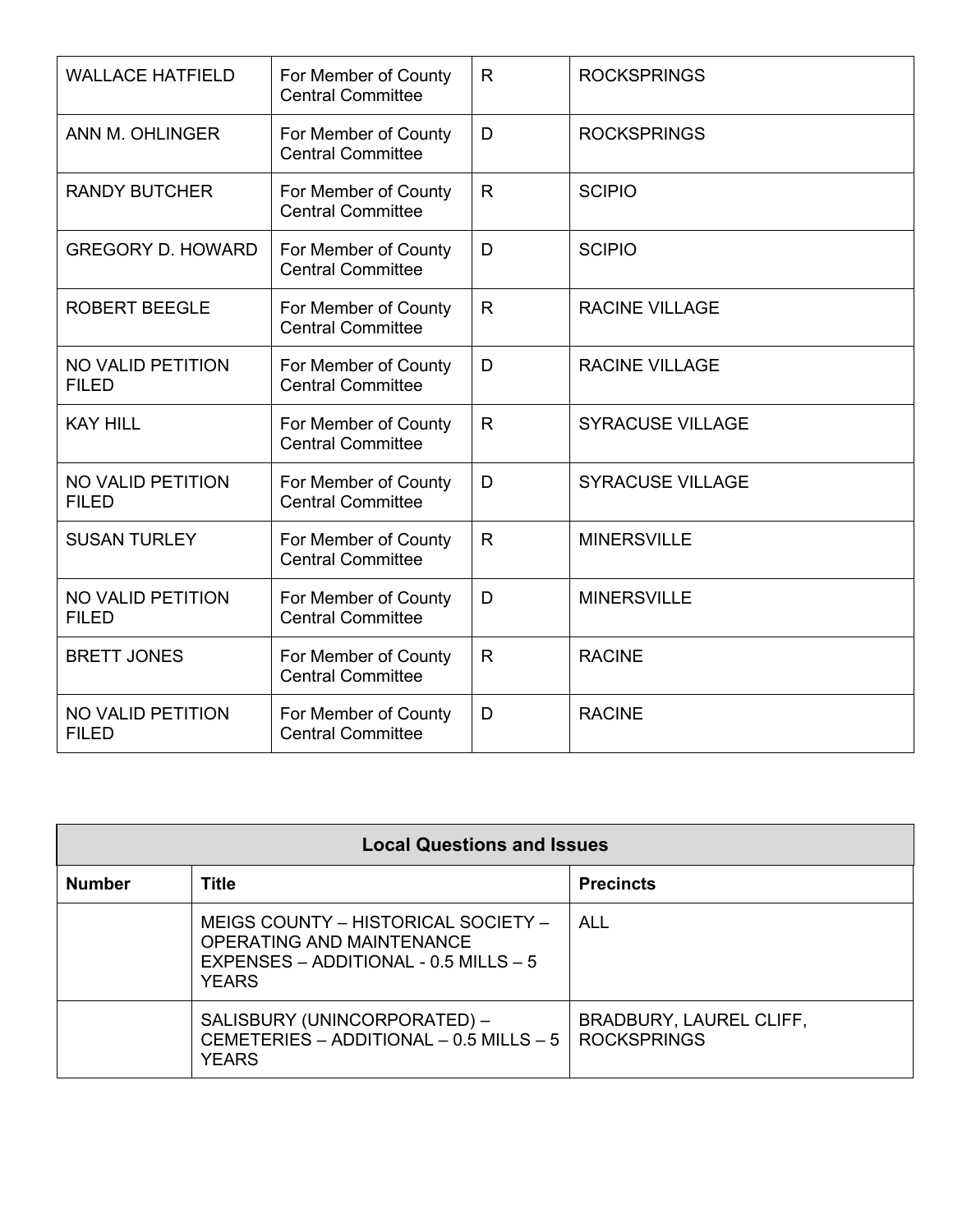| <b>WALLACE HATFIELD</b>                  | For Member of County<br><b>Central Committee</b> | R. | <b>ROCKSPRINGS</b>      |
|------------------------------------------|--------------------------------------------------|----|-------------------------|
| ANN M. OHLINGER                          | For Member of County<br><b>Central Committee</b> | D  | <b>ROCKSPRINGS</b>      |
| <b>RANDY BUTCHER</b>                     | For Member of County<br><b>Central Committee</b> | R. | <b>SCIPIO</b>           |
| <b>GREGORY D. HOWARD</b>                 | For Member of County<br><b>Central Committee</b> | D  | <b>SCIPIO</b>           |
| <b>ROBERT BEEGLE</b>                     | For Member of County<br><b>Central Committee</b> | R. | <b>RACINE VILLAGE</b>   |
| <b>NO VALID PETITION</b><br><b>FILED</b> | For Member of County<br><b>Central Committee</b> | D  | <b>RACINE VILLAGE</b>   |
| <b>KAY HILL</b>                          | For Member of County<br><b>Central Committee</b> | R. | <b>SYRACUSE VILLAGE</b> |
| NO VALID PETITION<br><b>FILED</b>        | For Member of County<br><b>Central Committee</b> | D  | <b>SYRACUSE VILLAGE</b> |
| <b>SUSAN TURLEY</b>                      | For Member of County<br><b>Central Committee</b> | R. | <b>MINERSVILLE</b>      |
| NO VALID PETITION<br><b>FILED</b>        | For Member of County<br><b>Central Committee</b> | D  | <b>MINERSVILLE</b>      |
| <b>BRETT JONES</b>                       | For Member of County<br><b>Central Committee</b> | R. | <b>RACINE</b>           |
| <b>NO VALID PETITION</b><br><b>FILED</b> | For Member of County<br><b>Central Committee</b> | D  | <b>RACINE</b>           |

| <b>Local Questions and Issues</b> |                                                                                                                             |                                                      |  |  |
|-----------------------------------|-----------------------------------------------------------------------------------------------------------------------------|------------------------------------------------------|--|--|
| <b>Number</b>                     | <b>Title</b>                                                                                                                | <b>Precincts</b>                                     |  |  |
|                                   | MEIGS COUNTY – HISTORICAL SOCIETY –<br>OPERATING AND MAINTENANCE<br>$EXPENSES - ADDITIONAL - 0.5 MILLS - 5$<br><b>YEARS</b> | ALL                                                  |  |  |
|                                   | SALISBURY (UNINCORPORATED) -<br>CEMETERIES - ADDITIONAL - 0.5 MILLS - 5<br><b>YFARS</b>                                     | <b>BRADBURY, LAUREL CLIFF,</b><br><b>ROCKSPRINGS</b> |  |  |